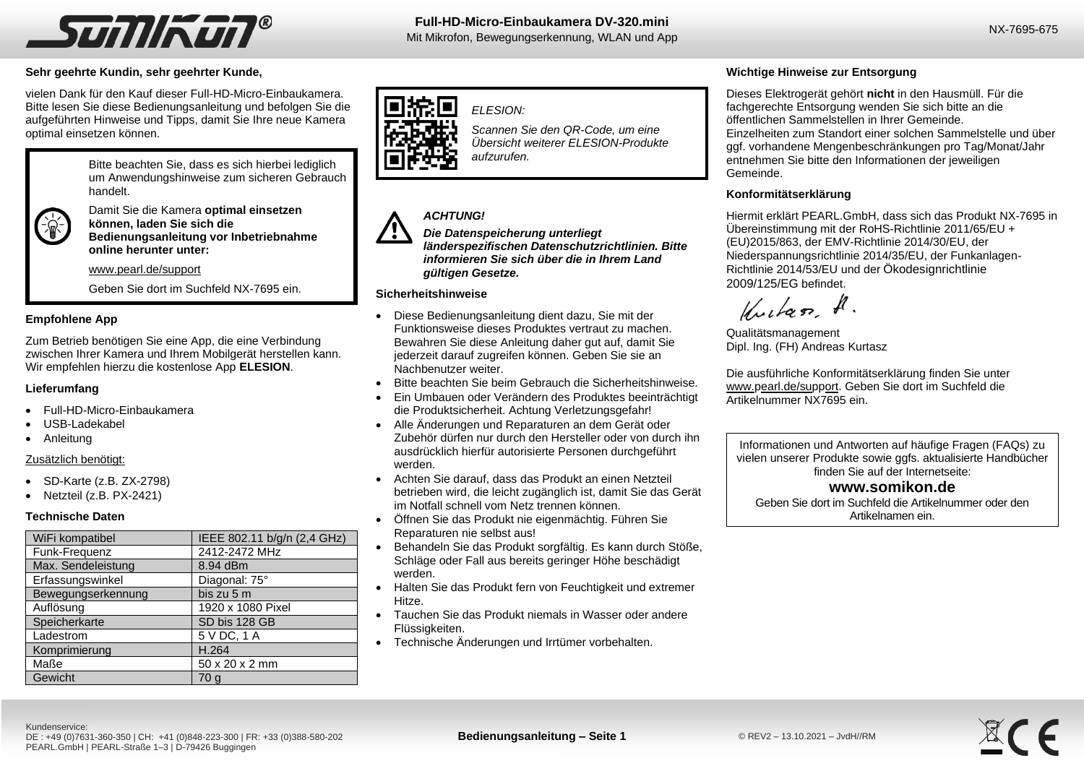

 $20<sup>2</sup>$ 

### **Sehr geehrte Kundin, sehr geehrter Kunde,**

vielen Dank für den Kauf dieser Full-HD-Micro-Einbaukamera. Bitte lesen Sie diese Bedienungsanleitung und befolgen Sie die aufgeführten Hinweise und Tipps, damit Sie Ihre neue Kamera optimal einsetzen können.

> Bitte beachten Sie, dass es sich hierbei lediglich um Anwendungshinweise zum sicheren Gebrauch handelt.



Damit Sie die Kamera **optimal einsetzen können, laden Sie sich die Bedienungsanleitung vor Inbetriebnahme online herunter unter:**

[www.pearl.de/support](http://www.pearl.de/support)

Geben Sie dort im Suchfeld NX-7695 ein.

### **Empfohlene App**

Zum Betrieb benötigen Sie eine App, die eine Verbindung zwischen Ihrer Kamera und Ihrem Mobilgerät herstellen kann. Wir empfehlen hierzu die kostenlose App **ELESION**.

### **Lieferumfang**

- Full-HD-Micro-Einbaukamera
- USB-Ladekabel
- Anleitung

### Zusätzlich benötigt:

- SD-Karte (z.B. ZX-2798)
- Netzteil (z.B. PX-2421)

### **Technische Daten**

| WiFi kompatibel    | IEEE 802.11 b/g/n (2,4 GHz) |
|--------------------|-----------------------------|
| Funk-Frequenz      | 2412-2472 MHz               |
| Max. Sendeleistung | 8.94 dBm                    |
| Erfassungswinkel   | Diagonal: 75°               |
| Bewegungserkennung | bis zu 5 m                  |
| Auflösung          | 1920 x 1080 Pixel           |
| Speicherkarte      | SD bis 128 GB               |
| Ladestrom          | 5 V DC, 1 A                 |
| Komprimierung      | H.264                       |
| Maße               | 50 x 20 x 2 mm              |
| Gewicht            | 70 g                        |



## *ELESION:*

*Scannen Sie den QR-Code, um eine Übersicht weiterer ELESION-Produkte aufzurufen.*

## *ACHTUNG!*

*Die Datenspeicherung unterliegt länderspezifischen Datenschutzrichtlinien. Bitte informieren Sie sich über die in Ihrem Land gültigen Gesetze.*

### **Sicherheitshinweise**

- Diese Bedienungsanleitung dient dazu, Sie mit der Funktionsweise dieses Produktes vertraut zu machen. Bewahren Sie diese Anleitung daher gut auf, damit Sie jederzeit darauf zugreifen können. Geben Sie sie an Nachbenutzer weiter.
- Bitte beachten Sie beim Gebrauch die Sicherheitshinweise.
- Ein Umbauen oder Verändern des Produktes beeinträchtigt die Produktsicherheit. Achtung Verletzungsgefahr!
- Alle Änderungen und Reparaturen an dem Gerät oder Zubehör dürfen nur durch den Hersteller oder von durch ihn ausdrücklich hierfür autorisierte Personen durchgeführt werden.
- Achten Sie darauf, dass das Produkt an einen Netzteil betrieben wird, die leicht zugänglich ist, damit Sie das Gerät im Notfall schnell vom Netz trennen können.
- Öffnen Sie das Produkt nie eigenmächtig. Führen Sie Reparaturen nie selbst aus!
- Behandeln Sie das Produkt sorgfältig. Es kann durch Stöße, Schläge oder Fall aus bereits geringer Höhe beschädigt werden.
- Halten Sie das Produkt fern von Feuchtigkeit und extremer Hitze.
- Tauchen Sie das Produkt niemals in Wasser oder andere Flüssigkeiten.
- Technische Änderungen und Irrtümer vorbehalten.

### **Wichtige Hinweise zur Entsorgung**

Dieses Elektrogerät gehört **nicht** in den Hausmüll. Für die fachgerechte Entsorgung wenden Sie sich bitte an die öffentlichen Sammelstellen in Ihrer Gemeinde. Einzelheiten zum Standort einer solchen Sammelstelle und über ggf. vorhandene Mengenbeschränkungen pro Tag/Monat/Jahr entnehmen Sie bitte den Informationen der jeweiligen Gemeinde.

### **Konformitätserklärung**

Hiermit erklärt PEARL.GmbH, dass sich das Produkt NX-7695 in Übereinstimmung mit der RoHS-Richtlinie 2011/65/EU + (EU)2015/863, der EMV-Richtlinie 2014/30/EU, der Niederspannungsrichtlinie 2014/35/EU, der Funkanlagen-Richtlinie 2014/53/EU und der Ökodesignrichtlinie 2009/125/EG befindet.

Kuitan, A.

Qualitätsmanagement Dipl. Ing. (FH) Andreas Kurtasz

Die ausführliche Konformitätserklärung finden Sie unter www.pearl.de/support. Geben Sie dort im Suchfeld die Artikelnummer NX7695 ein.

Informationen und Antworten auf häufige Fragen (FAQs) zu vielen unserer Produkte sowie ggfs. aktualisierte Handbücher finden Sie auf der Internetseite:

## **www.somikon.de**

Geben Sie dort im Suchfeld die Artikelnummer oder den Artikelnamen ein.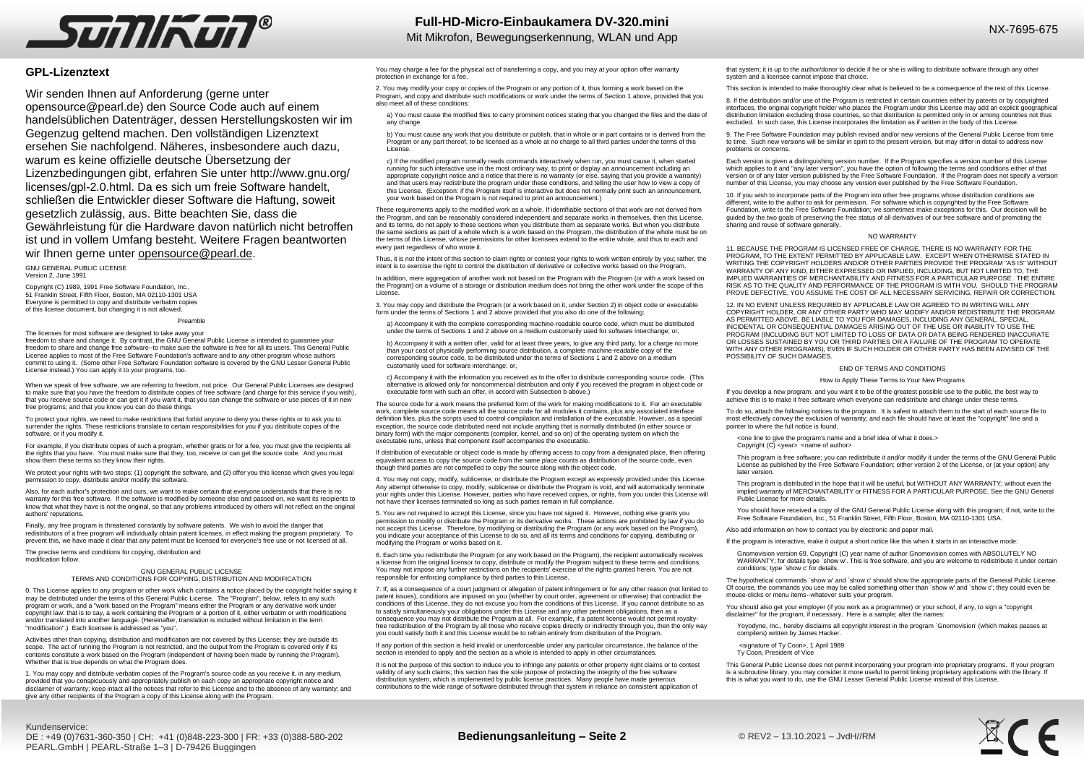

### **GPL-Lizenztext**

Wir senden Ihnen auf Anforderung (gerne unter opensource@pearl.de) den Source Code auch auf einem handelsüblichen Datenträger, dessen Herstellungskosten wir im Gegenzug geltend machen. Den vollständigen Lizenztext ersehen Sie nachfolgend. Näheres, insbesondere auch dazu, warum es keine offizielle deutsche Übersetzung der Lizenzbedingungen gibt, erfahren Sie unter http://www.gnu.org/ licenses/gpl-2.0.html. Da es sich um freie Software handelt, schließen die Entwickler dieser Software die Haftung, soweit gesetzlich zulässig, aus. Bitte beachten Sie, dass die Gewährleistung für die Hardware davon natürlich nicht betroffen ist und in vollem Umfang besteht. Weitere Fragen beantworten wir Ihnen gerne unter opensource@pearl.de

GNU GENERAL PUBLIC LICENSE Version 2, June 1991

Copyright (C) 1989, 1991 Free Software Foundation, Inc. 51 Franklin Street, Fifth Floor, Boston, MA 02110-1301 USA Everyone is permitted to copy and distribute verbatim copies of this license document, but changing it is not allowed.

#### Preamble

The licenses for most software are designed to take away your freedom to share and change it. By contrast, the GNU General Public License is intended to guarantee your freedom to share and change free software--to make sure the software is free for all its users. This General Public License applies to most of the Free Software Foundation's software and to any other program whose authors commit to using it. (Some other Free Software Foundation software is covered by the GNU Lesser General Public License instead.) You can apply it to your programs, too.

When we speak of free software, we are referring to freedom, not price. Our General Public Licenses are designed to make sure that you have the freedom to distribute copies of free software (and charge for this service if you wish), that you receive source code or can get it if you want it, that you can change the software or use pieces of it in new free programs; and that you know you can do these things.

To protect your rights, we need to make restrictions that forbid anyone to deny you these rights or to ask you to surrender the rights. These restrictions translate to certain responsibilities for you if you distribute copies of the software, or if you modify it.

For example, if you distribute copies of such a program, whether gratis or for a fee, you must give the recipients all the rights that you have. You must make sure that they, too, receive or can get the source code. And you must show them these terms so they know their rights.

We protect your rights with two steps: (1) copyright the software, and (2) offer you this license which gives you legal permission to copy, distribute and/or modify the software.

Also, for each author's protection and ours, we want to make certain that everyone understands that there is no warranty for this free software. If the software is modified by someone else and passed on, we want its recipients to<br>know that what they have is not the original, so that any problems introduced by others will not reflect authors' reputations.

Finally, any free program is threatened constantly by software patents. We wish to avoid the danger that redistributors of a free program will individually obtain patent licenses, in effect making the program proprietary. To prevent this, we have made it clear that any patent must be licensed for everyone's free use or not licensed at all.

The precise terms and conditions for copying, distribution and modification follow.

#### GNU GENERAL PUBLIC LICENSE TERMS AND CONDITIONS FOR COPYING, DISTRIBUTION AND MODIFICATION

0. This License applies to any program or other work which contains a notice placed by the copyright holder saying it may be distributed under the terms of this General Public License. The "Program", below, refers to any such program or work, and a "work based on the Program" means either the Program or any derivative work under copyright law: that is to say, a work containing the Program or a portion of it, either verbatim or with modifications and/or translated into another language. (Hereinafter, translation is included without limitation in the term "modification".) Each licensee is addressed as "you".

Activities other than copying, distribution and modification are not covered by this License; they are outside its scope. The act of running the Program is not restricted, and the output from the Program is covered only if its contents constitute a work based on the Program (independent of having been made by running the Program). Whether that is true depends on what the Program does.

1. You may copy and distribute verbatim copies of the Program's source code as you receive it, in any medium, provided that you conspicuously and appropriately publish on each copy an appropriate copyright notice and disclaimer of warranty; keep intact all the notices that refer to this License and to the absence of any warranty; and give any other recipients of the Program a copy of this License along with the Program.

You may charge a fee for the physical act of transferring a copy, and you may at your option offer warranty protection in exchange for a fee.

2. You may modify your copy or copies of the Program or any portion of it, thus forming a work based on the Program, and copy and distribute such modifications or work under the terms of Section 1 above, provided that you also meet all of these conditions:

a) You must cause the modified files to carry prominent notices stating that you changed the files and the date of any change.

b) You must cause any work that you distribute or publish, that in whole or in part contains or is derived from the Program or any part thereof, to be licensed as a whole at no charge to all third parties under the terms of this License.

c) If the modified program normally reads commands interactively when run, you must cause it, when started running for such interactive use in the most ordinary way, to print or display an announcement including an appropriate copyright notice and a notice that there is no warranty (or else, saying that you provide a warranty) and that users may redistribute the program under these conditions, and telling the user how to view a copy of this License. (Exception: if the Program itself is interactive but does not normally print such an announcement, your work based on the Program is not required to print an announcement.)

These requirements apply to the modified work as a whole. If identifiable sections of that work are not derived from the Program, and can be reasonably considered independent and separate works in themselves, then this License, and its terms, do not apply to those sections when you distribute them as separate works. But when you distribute the same sections as part of a whole which is a work based on the Program, the distribution of the whole must be on the terms of this License, whose permissions for other licensees extend to the entire whole, and thus to each and every part regardless of who wrote it.

Thus, it is not the intent of this section to claim rights or contest your rights to work written entirely by you; rather, the intent is to exercise the right to control the distribution of derivative or collective works based on the Program.

In addition, mere aggregation of another work not based on the Program with the Program (or with a work based on the Program) on a volume of a storage or distribution medium does not bring the other work under the scope of this License.

3. You may copy and distribute the Program (or a work based on it, under Section 2) in object code or executable form under the terms of Sections 1 and 2 above provided that you also do one of the following:

a) Accompany it with the complete corresponding machine-readable source code, which must be distributed under the terms of Sections 1 and 2 above on a medium customarily used for software interchange; or,

b) Accompany it with a written offer, valid for at least three years, to give any third party, for a charge no more than your cost of physically performing source distribution, a complete machine-readable copy of the corresponding source code, to be distributed under the terms of Sections 1 and 2 above on a medium customarily used for software interchange; or,

c) Accompany it with the information you received as to the offer to distribute corresponding source code. (This alternative is allowed only for noncommercial distribution and only if you received the program in object code or executable form with such an offer, in accord with Subsection b above.)

The source code for a work means the preferred form of the work for making modifications to it. For an executable work, complete source code means all the source code for all modules it contains, plus any associated interface definition files, plus the scripts used to control compilation and installation of the executable. However, as a special exception, the source code distributed need not include anything that is normally distributed (in either source or binary form) with the major components (compiler, kernel, and so on) of the operating system on which the executable runs, unless that component itself accompanies the executable.

If distribution of executable or object code is made by offering access to copy from a designated place, then offering equivalent access to copy the source code from the same place counts as distribution of the source code, even though third parties are not compelled to copy the source along with the object code.

4. You may not copy, modify, sublicense, or distribute the Program except as expressly provided under this License. Any attempt otherwise to copy, modify, sublicense or distribute the Program is void, and will automatically terminate your rights under this License. However, parties who have received copies, or rights, from you under this License will not have their licenses terminated so long as such parties remain in full compliance.

5. You are not required to accept this License, since you have not signed it. However, nothing else grants you permission to modify or distribute the Program or its derivative works. These actions are prohibited by law if you do not accept this License. Therefore, by modifying or distributing the Program (or any work based on the Program), you indicate your acceptance of this License to do so, and all its terms and conditions for copying, distributing or modifying the Program or works based on it.

6. Each time you redistribute the Program (or any work based on the Program), the recipient automatically receives<br>a license from the original licensor to copy, distribute or modify the Program subject to these terms and c You may not impose any further restrictions on the recipients' exercise of the rights granted herein. You are not responsible for enforcing compliance by third parties to this License.

7. If, as a consequence of a court judgment or allegation of patent infringement or for any other reason (not limited to patent issues), conditions are imposed on you (whether by court order, agreement or otherwise) that contradict the conditions of this License, they do not excuse you from the conditions of this License. If you cannot distribute so as to satisfy simultaneously your obligations under this License and any other pertinent obligations, then as a consequence you may not distribute the Program at all. For example, if a patent license would not permit royaltyfree redistribution of the Program by all those who receive copies directly or indirectly through you, then the only way you could satisfy both it and this License would be to refrain entirely from distribution of the Program.

If any portion of this section is held invalid or unenforceable under any particular circumstance, the balance of the section is intended to apply and the section as a whole is intended to apply in other circumstances.

It is not the purpose of this section to induce you to infringe any patents or other property right claims or to contest validity of any such claims; this section has the sole purpose of protecting the integrity of the free software distribution system, which is implemented by public license practices. Many people have made generous contributions to the wide range of software distributed through that system in reliance on consistent application of

that system; it is up to the author/donor to decide if he or she is willing to distribute software through any other system and a licensee cannot impose that choice.

This section is intended to make thoroughly clear what is believed to be a consequence of the rest of this License.

8. If the distribution and/or use of the Program is restricted in certain countries either by patents or by copyrighted interfaces, the original copyright holder who places the Program under this License may add an explicit geographical distribution limitation excluding those countries, so that distribution is permitted only in or among countries not thus excluded. In such case, this License incorporates the limitation as if written in the body of this License.

9. The Free Software Foundation may publish revised and/or new versions of the General Public License from time to time. Such new versions will be similar in spirit to the present version, but may differ in detail to address new problems or concerns.

Each version is given a distinguishing version number. If the Program specifies a version number of this License which applies to it and "any later version", you have the option of following the terms and conditions either of that version or of any later version published by the Free Software Foundation. If the Program does not specify a version number of this License, you may choose any version ever published by the Free Software Foundation.

10. If you wish to incorporate parts of the Program into other free programs whose distribution conditions are different, write to the author to ask for permission. For software which is copyrighted by the Free Software Foundation, write to the Free Software Foundation; we sometimes make exceptions for this. Our decision will be guided by the two goals of preserving the free status of all derivatives of our free software and of promoting the galacd by the two goals or preserving the<br>sharing and reuse of software generally.

#### NO WARRANTY

11. BECAUSE THE PROGRAM IS LICENSED FREE OF CHARGE, THERE IS NO WARRANTY FOR THE PROGRAM, TO THE EXTENT PERMITTED BY APPLICABLE LAW. EXCEPT WHEN OTHERWISE STATED IN WRITING THE COPYRIGHT HOLDERS AND/OR OTHER PARTIES PROVIDE THE PROGRAM "AS IS" WITHOUT WARRANTY OF ANY KIND, EITHER EXPRESSED OR IMPLIED, INCLUDING, BUT NOT LIMITED TO, THE IMPLIED WARRANTIES OF MERCHANTABILITY AND FITNESS FOR A PARTICULAR PURPOSE. THE ENTIRE RISK AS TO THE QUALITY AND PERFORMANCE OF THE PROGRAM IS WITH YOU. SHOULD THE PROGRAM PROVE DEFECTIVE, YOU ASSUME THE COST OF ALL NECESSARY SERVICING, REPAIR OR CORRECTION.

12. IN NO EVENT UNLESS REQUIRED BY APPLICABLE LAW OR AGREED TO IN WRITING WILL ANY COPYRIGHT HOLDER, OR ANY OTHER PARTY WHO MAY MODIFY AND/OR REDISTRIBUTE THE PROGRAM AS PERMITTED ABOVE, BE LIABLE TO YOU FOR DAMAGES, INCLUDING ANY GENERAL, SPECIAL, INCIDENTAL OR CONSEQUENTIAL DAMAGES ARISING OUT OF THE USE OR INABILITY TO USE THE PROGRAM (INCLUDING BUT NOT LIMITED TO LOSS OF DATA OR DATA BEING RENDERED INACCURATE OR LOSSES SUSTAINED BY YOU OR THIRD PARTIES OR A FAILURE OF THE PROGRAM TO OPERATE WITH ANY OTHER PROGRAMS), EVEN IF SUCH HOLDER OR OTHER PARTY HAS BEEN ADVISED OF THE POSSIBILITY OF SUCH DAMAGES.

### END OF TERMS AND CONDITIONS

#### How to Apply These Terms to Your New Programs

If you develop a new program, and you want it to be of the greatest possible use to the public, the best way to achieve this is to make it free software which everyone can redistribute and change under these terms.

To do so, attach the following notices to the program. It is safest to attach them to the start of each source file to most effectively convey the exclusion of warranty; and each file should have at least the "copyright" line and a pointer to where the full notice is found.

<one line to give the program's name and a brief idea of what it does.> Copyright (C) <year> <name of author>

This program is free software; you can redistribute it and/or modify it under the terms of the GNU General Public License as published by the Free Software Foundation; either version 2 of the License, or (at your option) any later version.

This program is distributed in the hope that it will be useful, but WITHOUT ANY WARRANTY; without even the implied warranty of MERCHANTABILITY or FITNESS FOR A PARTICULAR PURPOSE. See the GNU General Public License for more details.

You should have received a copy of the GNU General Public License along with this program; if not, write to the Free Software Foundation, Inc., 51 Franklin Street, Fifth Floor, Boston, MA 02110-1301 USA.

Also add information on how to contact you by electronic and paper mail.

If the program is interactive, make it output a short notice like this when it starts in an interactive mode:

Gnomovision version 69, Copyright (C) year name of author Gnomovision comes with ABSOLUTELY NO WARRANTY; for details type `show w'. This is free software, and you are welcome to redistribute it under certain conditions; type `show c' for details.

The hypothetical commands `show w' and `show c' should show the appropriate parts of the General Public License. Of course, the commands you use may be called something other than `show w' and `show c'; they could even be mouse-clicks or menu items--whatever suits your program.

You should also get your employer (if you work as a programmer) or your school, if any, to sign a "copyright disclaimer" for the program, if necessary. Here is a sample; alter the names:

Yoyodyne, Inc., hereby disclaims all copyright interest in the program `Gnomovision' (which makes passes at compilers) written by James Hacker.

<signature of Ty Coon>, 1 April 1989 Ty Coon, President of Vice

This General Public License does not permit incorporating your program into proprietary programs. If your program is a subroutine library, you may consider it more useful to permit linking proprietary applications with the library. If this is what you want to do, use the GNU Lesser General Public License instead of this License.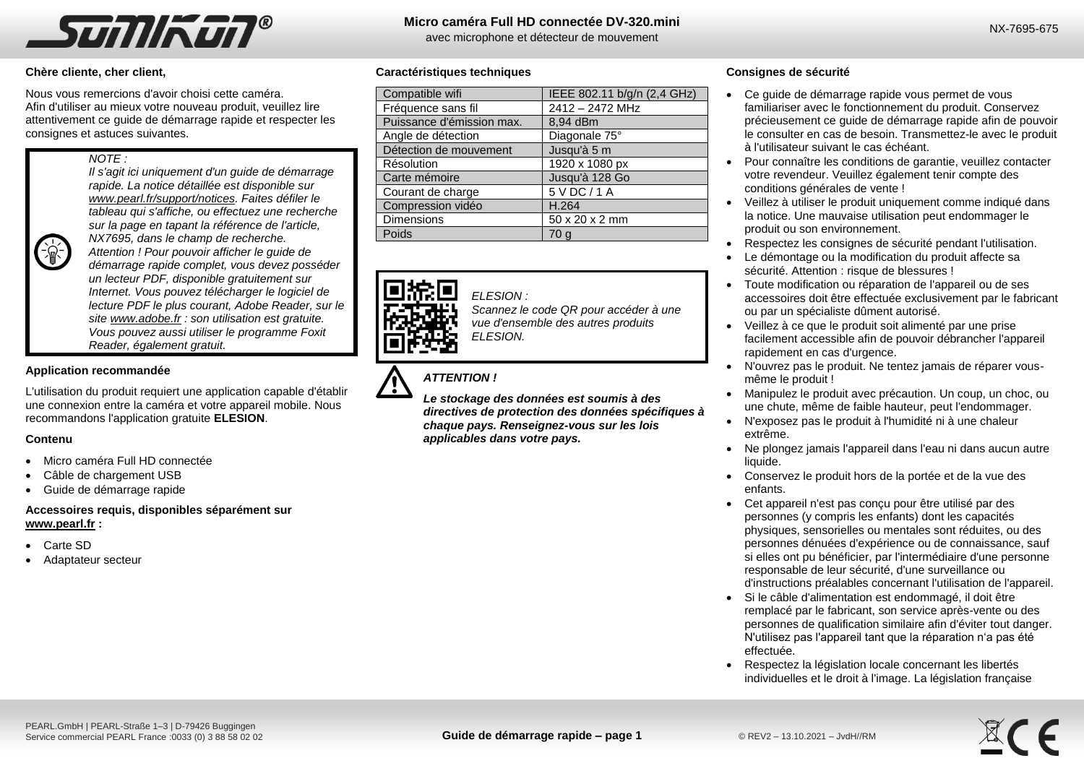

### **Chère cliente, cher client,**

Nous vous remercions d'avoir choisi cette caméra. Afin d'utiliser au mieux votre nouveau produit, veuillez lire attentivement ce guide de démarrage rapide et respecter les consignes et astuces suivantes.

### *NOTE :*

*Il s'agit ici uniquement d'un guide de démarrage rapide. La notice détaillée est disponible sur www.pearl.fr/support/notices. Faites défiler le tableau qui s'affiche, ou effectuez une recherche sur la page en tapant la référence de l'article, NX7695, dans le champ de recherche. Attention ! Pour pouvoir afficher le guide de démarrage rapide complet, vous devez posséder un lecteur PDF, disponible gratuitement sur Internet. Vous pouvez télécharger le logiciel de lecture PDF le plus courant, Adobe Reader, sur le site www.adobe.fr : son utilisation est gratuite. Vous pouvez aussi utiliser le programme Foxit Reader, également gratuit.*

### **Application recommandée**

L'utilisation du produit requiert une application capable d'établir une connexion entre la caméra et votre appareil mobile. Nous recommandons l'application gratuite **ELESION**.

### **Contenu**

 $\mathbf{P}$ 

- Micro caméra Full HD connectée
- Câble de chargement USB
- Guide de démarrage rapide

### **Accessoires requis, disponibles séparément sur www.pearl.fr :**

- Carte SD
- Adaptateur secteur

avec microphone et détecteur de mouvement

### **Caractéristiques techniques**

| Compatible wifi           | IEEE 802.11 b/g/n (2,4 GHz) |
|---------------------------|-----------------------------|
| Fréquence sans fil        | 2412 - 2472 MHz             |
| Puissance d'émission max. | 8,94 dBm                    |
| Angle de détection        | Diagonale 75°               |
| Détection de mouvement    | Jusqu'à 5 m                 |
| Résolution                | 1920 x 1080 px              |
| Carte mémoire             | Jusqu'à 128 Go              |
| Courant de charge         | 5 V DC / 1 A                |
| Compression vidéo         | H.264                       |
| Dimensions                | 50 x 20 x 2 mm              |
| Poids                     | 70 g                        |



Ţ

*ELESION : Scannez le code QR pour accéder à une vue d'ensemble des autres produits ELESION.*

# *ATTENTION !*

*Le stockage des données est soumis à des directives de protection des données spécifiques à chaque pays. Renseignez-vous sur les lois applicables dans votre pays.*

### **Consignes de sécurité**

- Ce guide de démarrage rapide vous permet de vous familiariser avec le fonctionnement du produit. Conservez précieusement ce guide de démarrage rapide afin de pouvoir le consulter en cas de besoin. Transmettez-le avec le produit à l'utilisateur suivant le cas échéant.
- Pour connaître les conditions de garantie, veuillez contacter votre revendeur. Veuillez également tenir compte des conditions générales de vente !
- Veillez à utiliser le produit uniquement comme indiqué dans la notice. Une mauvaise utilisation peut endommager le produit ou son environnement.
- Respectez les consignes de sécurité pendant l'utilisation.
- Le démontage ou la modification du produit affecte sa sécurité. Attention : risque de blessures !
- Toute modification ou réparation de l'appareil ou de ses accessoires doit être effectuée exclusivement par le fabricant ou par un spécialiste dûment autorisé.
- Veillez à ce que le produit soit alimenté par une prise facilement accessible afin de pouvoir débrancher l'appareil rapidement en cas d'urgence.
- N'ouvrez pas le produit. Ne tentez jamais de réparer vousmême le produit !
- Manipulez le produit avec précaution. Un coup, un choc, ou une chute, même de faible hauteur, peut l'endommager.
- N'exposez pas le produit à l'humidité ni à une chaleur extrême.
- Ne plongez jamais l'appareil dans l'eau ni dans aucun autre liquide.
- Conservez le produit hors de la portée et de la vue des enfants.
- Cet appareil n'est pas conçu pour être utilisé par des personnes (y compris les enfants) dont les capacités physiques, sensorielles ou mentales sont réduites, ou des personnes dénuées d'expérience ou de connaissance, sauf si elles ont pu bénéficier, par l'intermédiaire d'une personne responsable de leur sécurité, d'une surveillance ou d'instructions préalables concernant l'utilisation de l'appareil.
- Si le câble d'alimentation est endommagé, il doit être remplacé par le fabricant, son service après-vente ou des personnes de qualification similaire afin d'éviter tout danger. N'utilisez pas l'appareil tant que la réparation n'a pas été effectuée.
- Respectez la législation locale concernant les libertés individuelles et le droit à l'image. La législation française